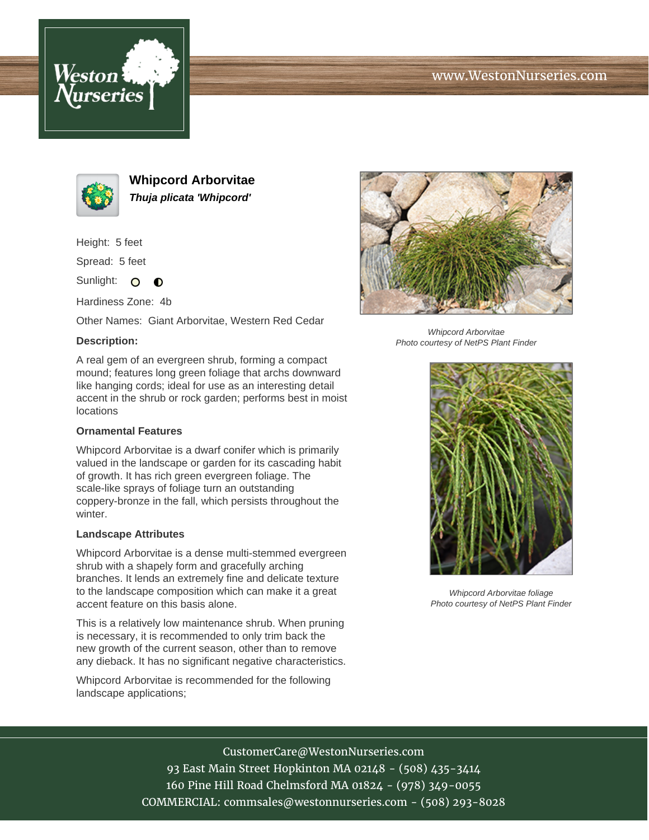





**Whipcord Arborvitae Thuja plicata 'Whipcord'**

Height: 5 feet

Spread: 5 feet

Sunlight: O  $\bullet$ 

Hardiness Zone: 4b

Other Names: Giant Arborvitae, Western Red Cedar

### **Description:**

A real gem of an evergreen shrub, forming a compact mound; features long green foliage that archs downward like hanging cords; ideal for use as an interesting detail accent in the shrub or rock garden; performs best in moist locations

#### **Ornamental Features**

Whipcord Arborvitae is a dwarf conifer which is primarily valued in the landscape or garden for its cascading habit of growth. It has rich green evergreen foliage. The scale-like sprays of foliage turn an outstanding coppery-bronze in the fall, which persists throughout the winter.

#### **Landscape Attributes**

Whipcord Arborvitae is a dense multi-stemmed evergreen shrub with a shapely form and gracefully arching branches. It lends an extremely fine and delicate texture to the landscape composition which can make it a great accent feature on this basis alone.

This is a relatively low maintenance shrub. When pruning is necessary, it is recommended to only trim back the new growth of the current season, other than to remove any dieback. It has no significant negative characteristics.

Whipcord Arborvitae is recommended for the following landscape applications;



Whipcord Arborvitae Photo courtesy of NetPS Plant Finder



Whipcord Arborvitae foliage Photo courtesy of NetPS Plant Finder

# CustomerCare@WestonNurseries.com

93 East Main Street Hopkinton MA 02148 - (508) 435-3414 160 Pine Hill Road Chelmsford MA 01824 - (978) 349-0055 COMMERCIAL: commsales@westonnurseries.com - (508) 293-8028